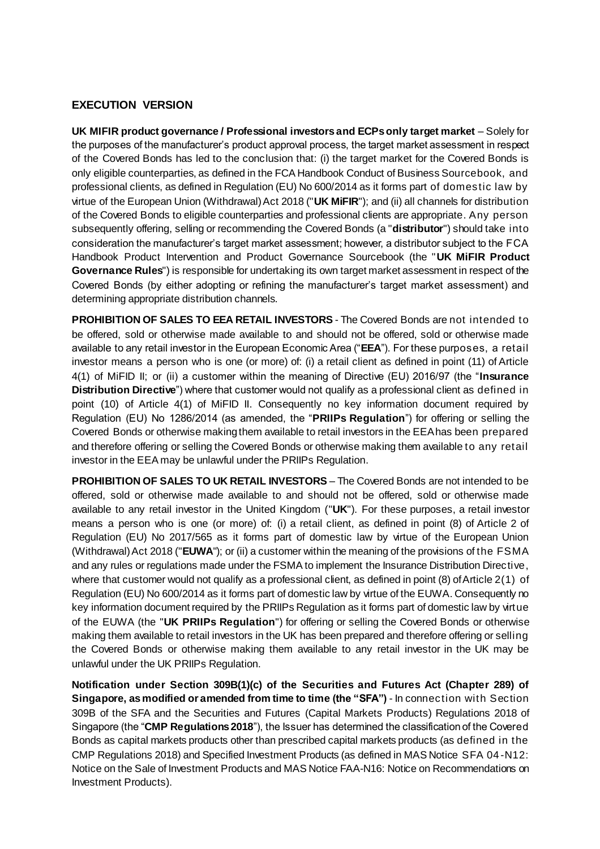#### **EXECUTION VERSION**

**UK MIFIR product governance / Professional investors and ECPs only target market** – Solely for the purposes of the manufacturer's product approval process, the target market assessment in respect of the Covered Bonds has led to the conclusion that: (i) the target market for the Covered Bonds is only eligible counterparties, as defined in the FCA Handbook Conduct of Business Sourcebook, and professional clients, as defined in Regulation (EU) No 600/2014 as it forms part of domestic law by virtue of the European Union (Withdrawal) Act 2018 ("**UK MiFIR**"); and (ii) all channels for distribution of the Covered Bonds to eligible counterparties and professional clients are appropriate. Any person subsequently offering, selling or recommending the Covered Bonds (a "**distributor**") should take into consideration the manufacturer's target market assessment; however, a distributor subject to the FCA Handbook Product Intervention and Product Governance Sourcebook (the "**UK MiFIR Product Governance Rules**") is responsible for undertaking its own target market assessment in respect of the Covered Bonds (by either adopting or refining the manufacturer's target market assessment) and determining appropriate distribution channels.

**PROHIBITION OF SALES TO EEA RETAIL INVESTORS** - The Covered Bonds are not intended to be offered, sold or otherwise made available to and should not be offered, sold or otherwise made available to any retail investor in the European Economic Area ("**EEA**"). For these purposes, a retail investor means a person who is one (or more) of: (i) a retail client as defined in point (11) of Article 4(1) of MiFID II; or (ii) a customer within the meaning of Directive (EU) 2016/97 (the "**Insurance Distribution Directive**") where that customer would not qualify as a professional client as defined in point (10) of Article 4(1) of MiFID II. Consequently no key information document required by Regulation (EU) No 1286/2014 (as amended, the "**PRIIPs Regulation**") for offering or selling the Covered Bonds or otherwise making them available to retail investors in the EEA has been prepared and therefore offering or selling the Covered Bonds or otherwise making them available to any retail investor in the EEA may be unlawful under the PRIIPs Regulation.

**PROHIBITION OF SALES TO UK RETAIL INVESTORS** – The Covered Bonds are not intended to be offered, sold or otherwise made available to and should not be offered, sold or otherwise made available to any retail investor in the United Kingdom ("**UK**"). For these purposes, a retail investor means a person who is one (or more) of: (i) a retail client, as defined in point (8) of Article 2 of Regulation (EU) No 2017/565 as it forms part of domestic law by virtue of the European Union (Withdrawal) Act 2018 ("**EUWA**"); or (ii) a customer within the meaning of the provisions of the FSMA and any rules or regulations made under the FSMA to implement the Insurance Distribution Directive, where that customer would not qualify as a professional client, as defined in point (8) of Article 2(1) of Regulation (EU) No 600/2014 as it forms part of domestic law by virtue of the EUWA. Consequently no key information document required by the PRIIPs Regulation as it forms part of domestic law by virtue of the EUWA (the "**UK PRIIPs Regulation**") for offering or selling the Covered Bonds or otherwise making them available to retail investors in the UK has been prepared and therefore offering or selling the Covered Bonds or otherwise making them available to any retail investor in the UK may be unlawful under the UK PRIIPs Regulation.

**Notification under Section 309B(1)(c) of the Securities and Futures Act (Chapter 289) of Singapore, as modified or amended from time to time (the "SFA")** - In connection with Section 309B of the SFA and the Securities and Futures (Capital Markets Products) Regulations 2018 of Singapore (the "**CMP Regulations 2018**"), the Issuer has determined the classification of the Covered Bonds as capital markets products other than prescribed capital markets products (as defined in the CMP Regulations 2018) and Specified Investment Products (as defined in MAS Notice SFA 04 -N12: Notice on the Sale of Investment Products and MAS Notice FAA-N16: Notice on Recommendations on Investment Products).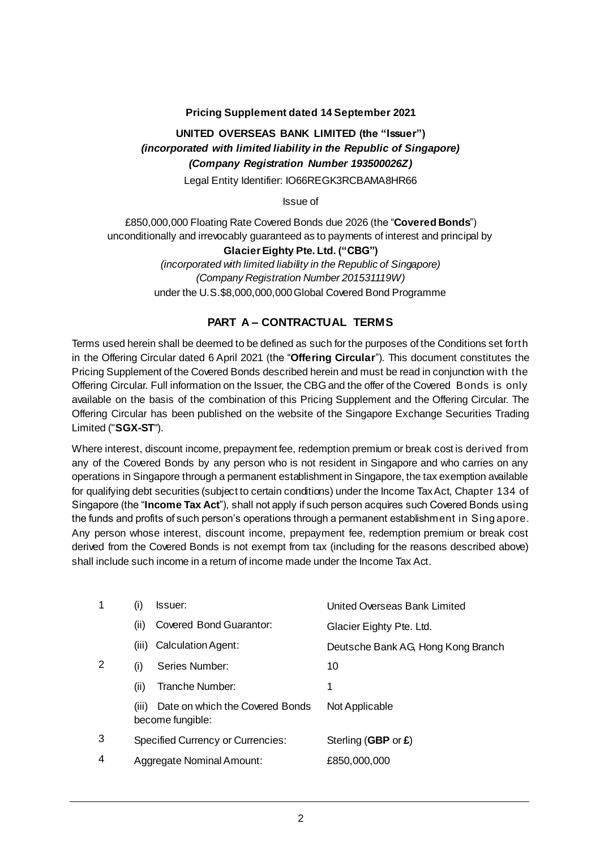### **Pricing Supplement dated 14 September 2021**

## **UNITED OVERSEAS BANK LIMITED (the "Issuer")** *(incorporated with limited liability in the Republic of Singapore) (Company Registration Number 193500026Z)*

Legal Entity Identifier: IO66REGK3RCBAMA8HR66

Issue of

£850,000,000 Floating Rate Covered Bonds due 2026 (the "**Covered Bonds**") unconditionally and irrevocably guaranteed as to payments of interest and principal by

### **Glacier Eighty Pte. Ltd. ("CBG")**

*(incorporated with limited liability in the Republic of Singapore) (Company Registration Number 201531119W)* under the U.S.\$8,000,000,000 Global Covered Bond Programme

### **PART A – CONTRACTUAL TERMS**

Terms used herein shall be deemed to be defined as such for the purposes of the Conditions set forth in the Offering Circular dated 6 April 2021 (the "**Offering Circular**"). This document constitutes the Pricing Supplement of the Covered Bonds described herein and must be read in conjunction with the Offering Circular. Full information on the Issuer, the CBG and the offer of the Covered Bonds is only available on the basis of the combination of this Pricing Supplement and the Offering Circular. The Offering Circular has been published on the website of the Singapore Exchange Securities Trading Limited ("**SGX-ST**").

Where interest, discount income, prepayment fee, redemption premium or break cost is derived from any of the Covered Bonds by any person who is not resident in Singapore and who carries on any operations in Singapore through a permanent establishment in Singapore, the tax exemption available for qualifying debt securities (subject to certain conditions) under the Income Tax Act, Chapter 134 of Singapore (the "**Income Tax Act**"), shall not apply if such person acquires such Covered Bonds using the funds and profits of such person's operations through a permanent establishment in Sing apore. Any person whose interest, discount income, prepayment fee, redemption premium or break cost derived from the Covered Bonds is not exempt from tax (including for the reasons described above) shall include such income in a return of income made under the Income Tax Act.

|   | (1)   | Issuer:                                             | United Overseas Bank Limited       |
|---|-------|-----------------------------------------------------|------------------------------------|
|   | (ii)  | Covered Bond Guarantor:                             | Glacier Eighty Pte. Ltd.           |
|   | (iii) | Calculation Agent:                                  | Deutsche Bank AG, Hong Kong Branch |
| 2 | (i)   | Series Number:                                      | 10                                 |
|   | (ii)  | Tranche Number:                                     | 1                                  |
|   | (iii) | Date on which the Covered Bonds<br>become fungible: | Not Applicable                     |
| 3 |       | <b>Specified Currency or Currencies:</b>            | Sterling (GBP or £)                |
| 4 |       | Aggregate Nominal Amount:                           | £850,000,000                       |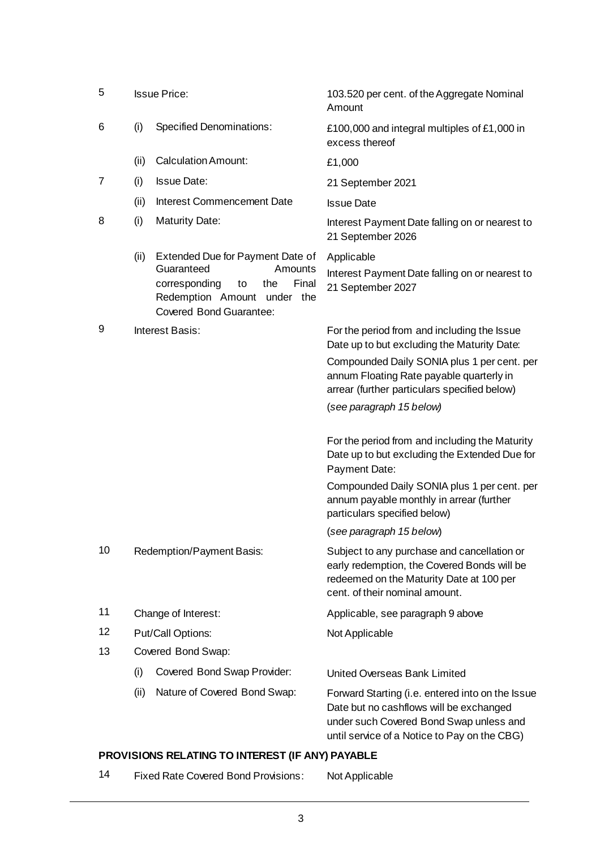| 5                 | <b>Issue Price:</b> |                                                                                                                                                                   | 103.520 per cent. of the Aggregate Nominal<br>Amount                                                                                                                                   |  |
|-------------------|---------------------|-------------------------------------------------------------------------------------------------------------------------------------------------------------------|----------------------------------------------------------------------------------------------------------------------------------------------------------------------------------------|--|
| 6                 | (i)                 | <b>Specified Denominations:</b>                                                                                                                                   | £100,000 and integral multiples of £1,000 in<br>excess thereof                                                                                                                         |  |
|                   | (ii)                | <b>Calculation Amount:</b>                                                                                                                                        | £1,000                                                                                                                                                                                 |  |
| 7                 | (i)                 | <b>Issue Date:</b>                                                                                                                                                | 21 September 2021                                                                                                                                                                      |  |
|                   | (ii)                | Interest Commencement Date                                                                                                                                        | <b>Issue Date</b>                                                                                                                                                                      |  |
| 8                 | (i)                 | <b>Maturity Date:</b>                                                                                                                                             | Interest Payment Date falling on or nearest to<br>21 September 2026                                                                                                                    |  |
|                   | (ii)                | Extended Due for Payment Date of<br>Guaranteed<br>Amounts<br>corresponding<br>the<br>Final<br>to<br>Redemption Amount under the<br><b>Covered Bond Guarantee:</b> | Applicable<br>Interest Payment Date falling on or nearest to<br>21 September 2027                                                                                                      |  |
| 9                 |                     | Interest Basis:                                                                                                                                                   | For the period from and including the Issue<br>Date up to but excluding the Maturity Date:<br>Compounded Daily SONIA plus 1 per cent. per                                              |  |
|                   |                     |                                                                                                                                                                   | annum Floating Rate payable quarterly in<br>arrear (further particulars specified below)                                                                                               |  |
|                   |                     |                                                                                                                                                                   | (see paragraph 15 below)                                                                                                                                                               |  |
|                   |                     |                                                                                                                                                                   | For the period from and including the Maturity<br>Date up to but excluding the Extended Due for<br>Payment Date:                                                                       |  |
|                   |                     |                                                                                                                                                                   | Compounded Daily SONIA plus 1 per cent. per<br>annum payable monthly in arrear (further<br>particulars specified below)                                                                |  |
|                   |                     |                                                                                                                                                                   | (see paragraph 15 below)                                                                                                                                                               |  |
| 10                |                     | Redemption/Payment Basis:                                                                                                                                         | Subject to any purchase and cancellation or<br>early redemption, the Covered Bonds will be<br>redeemed on the Maturity Date at 100 per<br>cent. of their nominal amount.               |  |
| 11                |                     | Change of Interest:                                                                                                                                               | Applicable, see paragraph 9 above                                                                                                                                                      |  |
| $12 \overline{ }$ |                     | Put/Call Options:                                                                                                                                                 | Not Applicable                                                                                                                                                                         |  |
| 13                |                     | Covered Bond Swap:                                                                                                                                                |                                                                                                                                                                                        |  |
|                   | (i)                 | Covered Bond Swap Provider:                                                                                                                                       | United Overseas Bank Limited                                                                                                                                                           |  |
|                   | (ii)                | Nature of Covered Bond Swap:                                                                                                                                      | Forward Starting (i.e. entered into on the Issue<br>Date but no cashflows will be exchanged<br>under such Covered Bond Swap unless and<br>until service of a Notice to Pay on the CBG) |  |

# **PROVISIONS RELATING TO INTEREST (IF ANY) PAYABLE**

| -14 | <b>Fixed Rate Covered Bond Provisions:</b> | Not Applicable |
|-----|--------------------------------------------|----------------|
|-----|--------------------------------------------|----------------|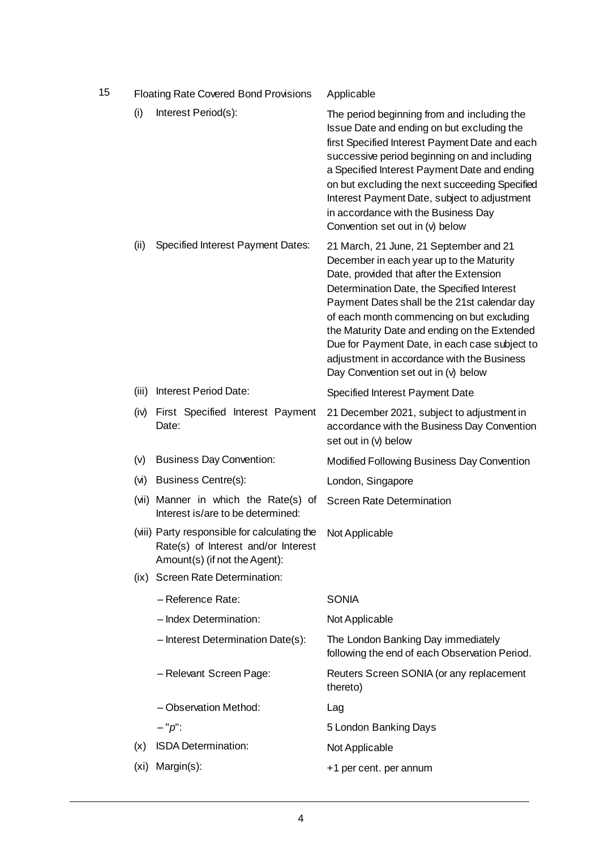| 15 |       | <b>Floating Rate Covered Bond Provisions</b>                                                                         | Applicable                                                                                                                                                                                                                                                                                                                                                                                                                                                     |
|----|-------|----------------------------------------------------------------------------------------------------------------------|----------------------------------------------------------------------------------------------------------------------------------------------------------------------------------------------------------------------------------------------------------------------------------------------------------------------------------------------------------------------------------------------------------------------------------------------------------------|
|    | (i)   | Interest Period(s):                                                                                                  | The period beginning from and including the<br>Issue Date and ending on but excluding the<br>first Specified Interest Payment Date and each<br>successive period beginning on and including<br>a Specified Interest Payment Date and ending<br>on but excluding the next succeeding Specified<br>Interest Payment Date, subject to adjustment<br>in accordance with the Business Day<br>Convention set out in (v) below                                        |
|    | (iii) | <b>Specified Interest Payment Dates:</b>                                                                             | 21 March, 21 June, 21 September and 21<br>December in each year up to the Maturity<br>Date, provided that after the Extension<br>Determination Date, the Specified Interest<br>Payment Dates shall be the 21st calendar day<br>of each month commencing on but excluding<br>the Maturity Date and ending on the Extended<br>Due for Payment Date, in each case subject to<br>adjustment in accordance with the Business<br>Day Convention set out in (v) below |
|    | (iii) | Interest Period Date:                                                                                                | Specified Interest Payment Date                                                                                                                                                                                                                                                                                                                                                                                                                                |
|    |       | (iv) First Specified Interest Payment<br>Date:                                                                       | 21 December 2021, subject to adjustment in<br>accordance with the Business Day Convention<br>set out in (v) below                                                                                                                                                                                                                                                                                                                                              |
|    | (v)   | <b>Business Day Convention:</b>                                                                                      | Modified Following Business Day Convention                                                                                                                                                                                                                                                                                                                                                                                                                     |
|    |       | (vi) Business Centre(s):                                                                                             | London, Singapore                                                                                                                                                                                                                                                                                                                                                                                                                                              |
|    |       | (vii) Manner in which the Rate(s) of<br>Interest is/are to be determined:                                            | <b>Screen Rate Determination</b>                                                                                                                                                                                                                                                                                                                                                                                                                               |
|    |       | (viii) Party responsible for calculating the<br>Rate(s) of Interest and/or Interest<br>Amount(s) (if not the Agent): | Not Applicable                                                                                                                                                                                                                                                                                                                                                                                                                                                 |
|    |       | (ix) Screen Rate Determination:                                                                                      |                                                                                                                                                                                                                                                                                                                                                                                                                                                                |
|    |       | - Reference Rate:                                                                                                    | <b>SONIA</b>                                                                                                                                                                                                                                                                                                                                                                                                                                                   |
|    |       | - Index Determination:                                                                                               | Not Applicable                                                                                                                                                                                                                                                                                                                                                                                                                                                 |
|    |       | - Interest Determination Date(s):                                                                                    | The London Banking Day immediately<br>following the end of each Observation Period.                                                                                                                                                                                                                                                                                                                                                                            |
|    |       | - Relevant Screen Page:                                                                                              | Reuters Screen SONIA (or any replacement<br>thereto)                                                                                                                                                                                                                                                                                                                                                                                                           |
|    |       | - Observation Method:                                                                                                | Lag                                                                                                                                                                                                                                                                                                                                                                                                                                                            |
|    |       | $-$ " $p$ ":                                                                                                         | 5 London Banking Days                                                                                                                                                                                                                                                                                                                                                                                                                                          |
|    | (x)   | <b>ISDA Determination:</b>                                                                                           | Not Applicable                                                                                                                                                                                                                                                                                                                                                                                                                                                 |
|    | (xi)  | Margin(s):                                                                                                           | +1 per cent. per annum                                                                                                                                                                                                                                                                                                                                                                                                                                         |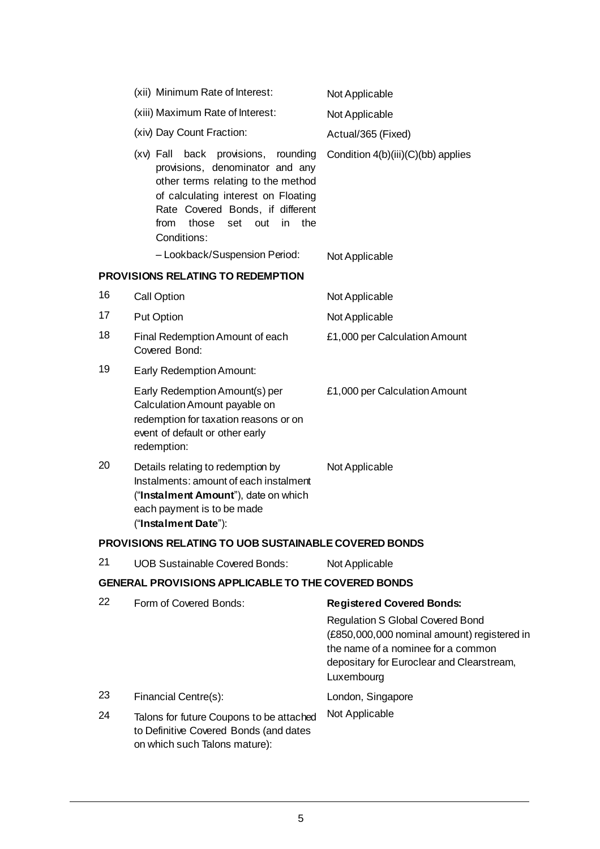|    | (xii) Minimum Rate of Interest:                                                                                                                                                                                                                       | Not Applicable                                                                                                                                                                                                              |
|----|-------------------------------------------------------------------------------------------------------------------------------------------------------------------------------------------------------------------------------------------------------|-----------------------------------------------------------------------------------------------------------------------------------------------------------------------------------------------------------------------------|
|    | (xiii) Maximum Rate of Interest:                                                                                                                                                                                                                      | Not Applicable                                                                                                                                                                                                              |
|    | (xiv) Day Count Fraction:                                                                                                                                                                                                                             | Actual/365 (Fixed)                                                                                                                                                                                                          |
|    | (xv) Fall back provisions,<br>rounding<br>provisions, denominator and any<br>other terms relating to the method<br>of calculating interest on Floating<br>Rate Covered Bonds, if different<br>from<br>those<br>set<br>out<br>in<br>the<br>Conditions: | Condition 4(b)(iii)(C)(bb) applies                                                                                                                                                                                          |
|    | - Lookback/Suspension Period:                                                                                                                                                                                                                         | Not Applicable                                                                                                                                                                                                              |
|    | PROVISIONS RELATING TO REDEMPTION                                                                                                                                                                                                                     |                                                                                                                                                                                                                             |
| 16 | <b>Call Option</b>                                                                                                                                                                                                                                    | Not Applicable                                                                                                                                                                                                              |
| 17 | <b>Put Option</b>                                                                                                                                                                                                                                     | Not Applicable                                                                                                                                                                                                              |
| 18 | Final Redemption Amount of each<br>Covered Bond:                                                                                                                                                                                                      | £1,000 per Calculation Amount                                                                                                                                                                                               |
| 19 | <b>Early Redemption Amount:</b>                                                                                                                                                                                                                       |                                                                                                                                                                                                                             |
|    | Early Redemption Amount(s) per<br>Calculation Amount payable on<br>redemption for taxation reasons or on<br>event of default or other early<br>redemption:                                                                                            | £1,000 per Calculation Amount                                                                                                                                                                                               |
| 20 | Details relating to redemption by<br>Instalments: amount of each instalment<br>("Instalment Amount"), date on which<br>each payment is to be made<br>("Instalment Date"):                                                                             | Not Applicable                                                                                                                                                                                                              |
|    | PROVISIONS RELATING TO UOB SUSTAINABLE COVERED BONDS                                                                                                                                                                                                  |                                                                                                                                                                                                                             |
| 21 | <b>UOB Sustainable Covered Bonds:</b>                                                                                                                                                                                                                 | Not Applicable                                                                                                                                                                                                              |
|    | GENERAL PROVISIONS APPLICABLE TO THE COVERED BONDS                                                                                                                                                                                                    |                                                                                                                                                                                                                             |
| 22 | Form of Covered Bonds:                                                                                                                                                                                                                                | <b>Registered Covered Bonds:</b><br><b>Regulation S Global Covered Bond</b><br>(£850,000,000 nominal amount) registered in<br>the name of a nominee for a common<br>depositary for Euroclear and Clearstream,<br>Luxembourg |

- 23 Financial Centre(s): London, Singapore
- 24 Talons for future Coupons to be attached to Definitive Covered Bonds (and dates on which such Talons mature): Not Applicable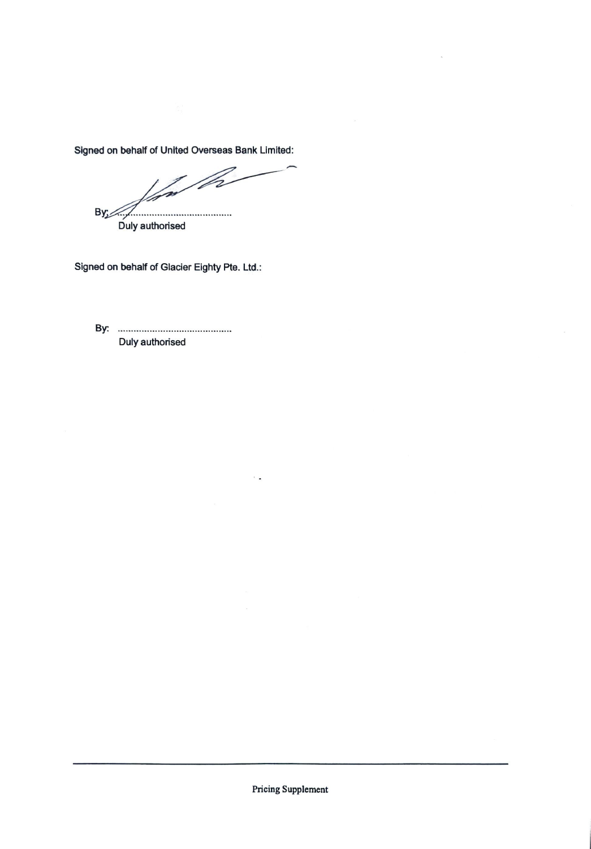Signed on behalf of United Overseas Bank Limited:

D-**By** 

Duly authorised

Signed on behalf of Glacier Eighty Pte. Ltd.

By: Duly authorised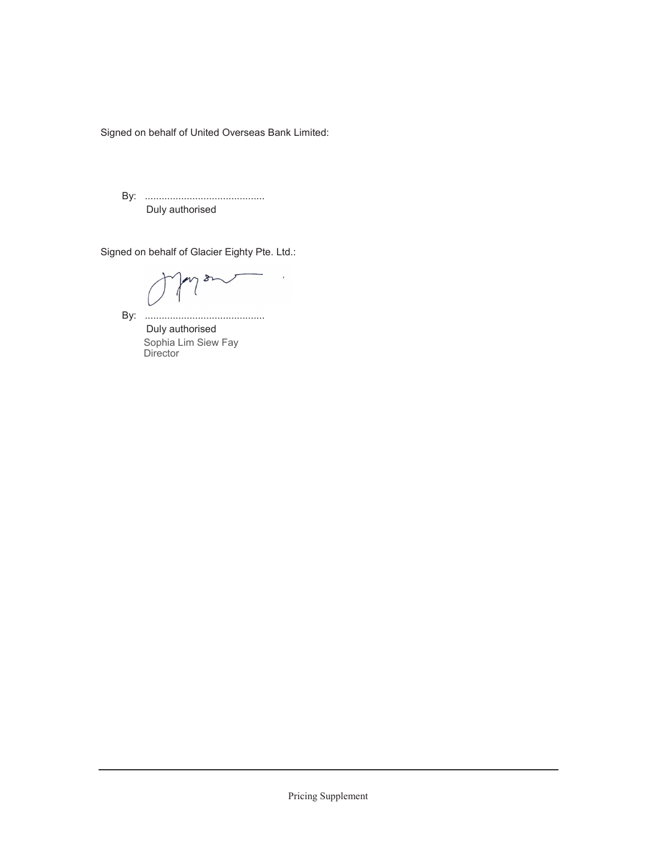Signed on behalf of United Overseas Bank Limited:

By: ........................................... Duly authorised

Signed on behalf of Glacier Eighty Pte. Ltd.:

≿

By: ...........................................

 Duly authorised Sophia Lim Siew Fay **Director**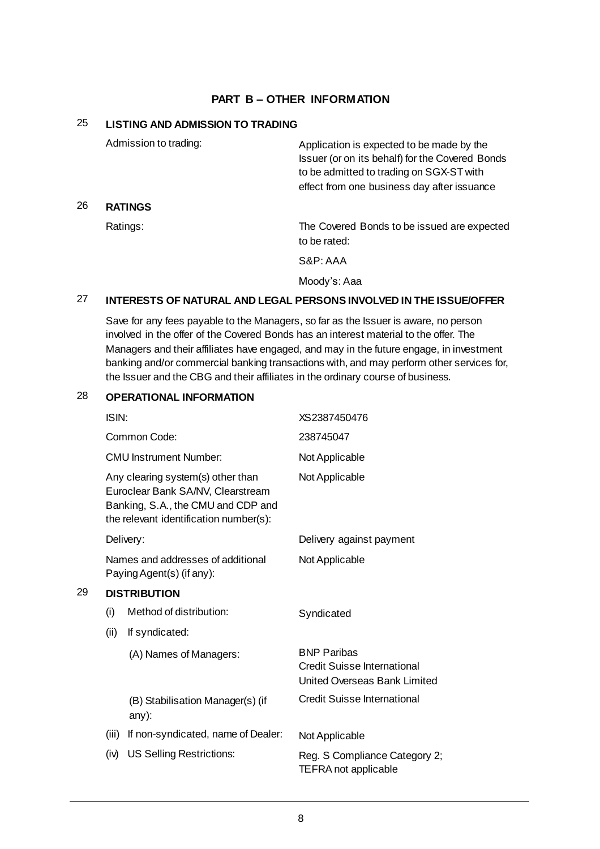### **PART B – OTHER INFORMATION**

### 25 **LISTING AND ADMISSION TO TRADING**

26 **RATINGS**

| Admission to trading: | Application is expected to be made by the<br>Issuer (or on its behalf) for the Covered Bonds<br>to be admitted to trading on SGX-ST with<br>effect from one business day after issuance |
|-----------------------|-----------------------------------------------------------------------------------------------------------------------------------------------------------------------------------------|
| <b>RATINGS</b>        |                                                                                                                                                                                         |
| Ratings:              | The Covered Bonds to be issued are expected<br>to be rated:                                                                                                                             |
|                       | S&P:AAA                                                                                                                                                                                 |
|                       | Moody's: Aaa                                                                                                                                                                            |

### 27 **INTERESTS OF NATURAL AND LEGAL PERSONS INVOLVED IN THE ISSUE/OFFER**

Save for any fees payable to the Managers, so far as the Issuer is aware, no person involved in the offer of the Covered Bonds has an interest material to the offer. The Managers and their affiliates have engaged, and may in the future engage, in investment banking and/or commercial banking transactions with, and may perform other services for, the Issuer and the CBG and their affiliates in the ordinary course of business.

### 28 **OPERATIONAL INFORMATION**

|    | ISIN: |                                                                                                                                                        | XS2387450476                                                                             |
|----|-------|--------------------------------------------------------------------------------------------------------------------------------------------------------|------------------------------------------------------------------------------------------|
|    |       | Common Code:                                                                                                                                           | 238745047                                                                                |
|    |       | <b>CMU Instrument Number:</b>                                                                                                                          | Not Applicable                                                                           |
|    |       | Any clearing system(s) other than<br>Euroclear Bank SA/NV, Clearstream<br>Banking, S.A., the CMU and CDP and<br>the relevant identification number(s): | Not Applicable                                                                           |
|    |       | Delivery:                                                                                                                                              | Delivery against payment                                                                 |
|    |       | Names and addresses of additional<br>Paying Agent(s) (if any):                                                                                         | Not Applicable                                                                           |
| 29 |       | <b>DISTRIBUTION</b>                                                                                                                                    |                                                                                          |
|    | (i)   | Method of distribution:                                                                                                                                | Syndicated                                                                               |
|    | (ii)  | If syndicated:                                                                                                                                         |                                                                                          |
|    |       | (A) Names of Managers:                                                                                                                                 | <b>BNP Paribas</b><br><b>Credit Suisse International</b><br>United Overseas Bank Limited |
|    |       | (B) Stabilisation Manager(s) (if<br>any):                                                                                                              | <b>Credit Suisse International</b>                                                       |
|    | (iii) | If non-syndicated, name of Dealer:                                                                                                                     | Not Applicable                                                                           |
|    | (iv)  | <b>US Selling Restrictions:</b>                                                                                                                        | Reg. S Compliance Category 2;<br>TEFRA not applicable                                    |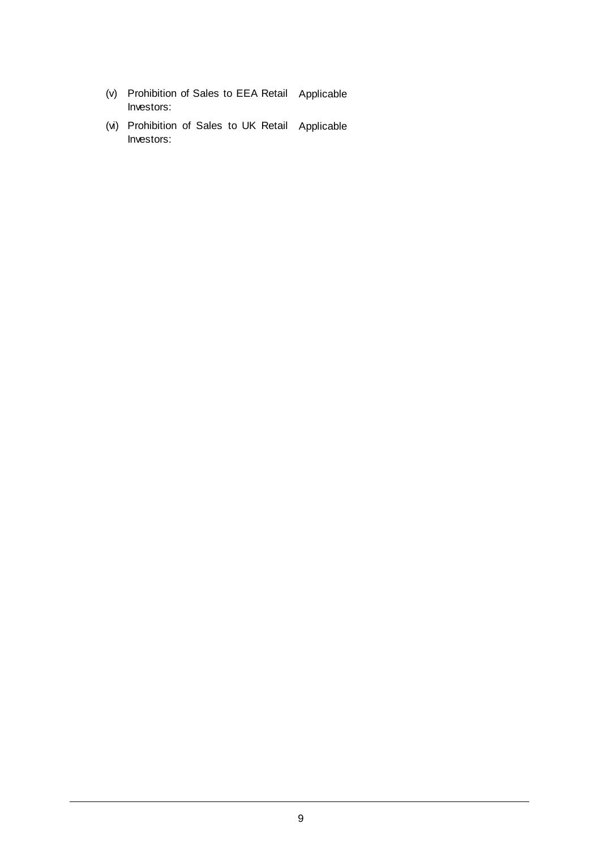- (v) Prohibition of Sales to EEA Retail Applicable Investors:
- (vi) Prohibition of Sales to UK Retail ApplicableInvestors: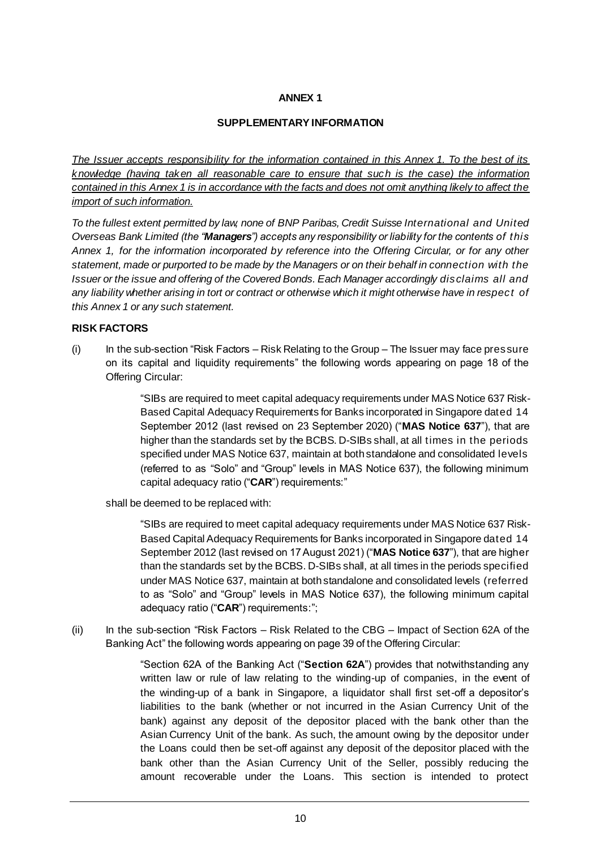### **ANNEX 1**

### **SUPPLEMENTARY INFORMATION**

*The Issuer accepts responsibility for the information contained in this Annex 1. To the best of its knowledge (having taken all reasonable care to ensure that such is the case) the information contained in this Annex 1 is in accordance with the facts and does not omit anything likely to affect the import of such information.*

*To the fullest extent permitted by law, none of BNP Paribas, Credit Suisse International and United Overseas Bank Limited (the "Managers") accepts any responsibility or liability for the contents of this Annex 1, for the information incorporated by reference into the Offering Circular, or for any other statement, made or purported to be made by the Managers or on their behalf in connection with the Issuer or the issue and offering of the Covered Bonds. Each Manager accordingly disclaims all and any liability whether arising in tort or contract or otherwise which it might otherwise have in respect of this Annex 1 or any such statement.*

### **RISK FACTORS**

(i) In the sub-section "Risk Factors *–* Risk Relating to the Group – The Issuer may face pressure on its capital and liquidity requirements" the following words appearing on page 18 of the Offering Circular:

> "SIBs are required to meet capital adequacy requirements under MAS Notice 637 Risk-Based Capital Adequacy Requirements for Banks incorporated in Singapore dated 14 September 2012 (last revised on 23 September 2020) ("**MAS Notice 637**"), that are higher than the standards set by the BCBS. D-SIBs shall, at all times in the periods specified under MAS Notice 637, maintain at both standalone and consolidated levels (referred to as "Solo" and "Group" levels in MAS Notice 637), the following minimum capital adequacy ratio ("**CAR**") requirements:"

shall be deemed to be replaced with:

"SIBs are required to meet capital adequacy requirements under MAS Notice 637 Risk-Based Capital Adequacy Requirements for Banks incorporated in Singapore dated 14 September 2012 (last revised on 17 August 2021) ("**MAS Notice 637**"), that are higher than the standards set by the BCBS. D-SIBs shall, at all times in the periods specified under MAS Notice 637, maintain at both standalone and consolidated levels (referred to as "Solo" and "Group" levels in MAS Notice 637), the following minimum capital adequacy ratio ("**CAR**") requirements:";

(ii) In the sub-section "Risk Factors *–* Risk Related to the CBG – Impact of Section 62A of the Banking Act" the following words appearing on page 39 of the Offering Circular:

> "Section 62A of the Banking Act ("**Section 62A**") provides that notwithstanding any written law or rule of law relating to the winding-up of companies, in the event of the winding-up of a bank in Singapore, a liquidator shall first set-off a depositor's liabilities to the bank (whether or not incurred in the Asian Currency Unit of the bank) against any deposit of the depositor placed with the bank other than the Asian Currency Unit of the bank. As such, the amount owing by the depositor under the Loans could then be set-off against any deposit of the depositor placed with the bank other than the Asian Currency Unit of the Seller, possibly reducing the amount recoverable under the Loans. This section is intended to protect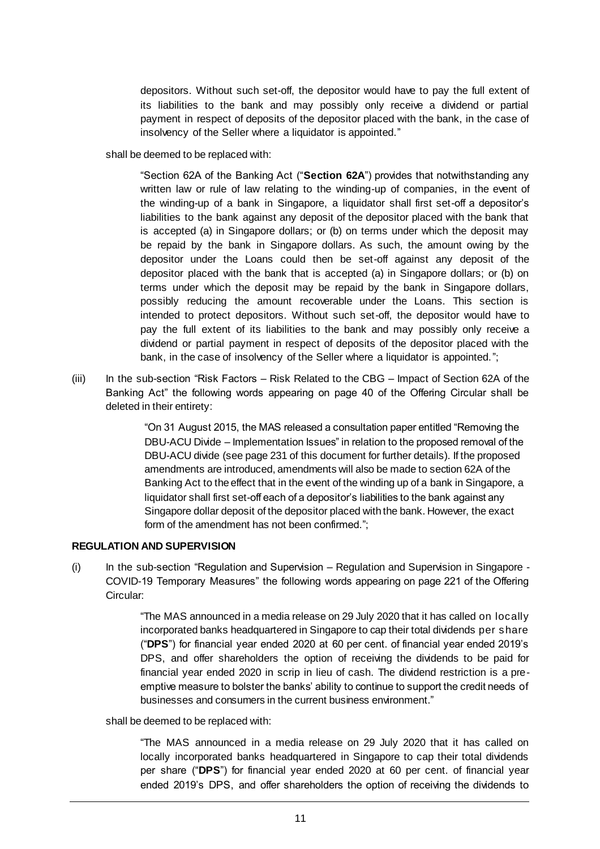depositors. Without such set-off, the depositor would have to pay the full extent of its liabilities to the bank and may possibly only receive a dividend or partial payment in respect of deposits of the depositor placed with the bank, in the case of insolvency of the Seller where a liquidator is appointed."

shall be deemed to be replaced with:

"Section 62A of the Banking Act ("**Section 62A**") provides that notwithstanding any written law or rule of law relating to the winding-up of companies, in the event of the winding-up of a bank in Singapore, a liquidator shall first set-off a depositor's liabilities to the bank against any deposit of the depositor placed with the bank that is accepted (a) in Singapore dollars; or (b) on terms under which the deposit may be repaid by the bank in Singapore dollars. As such, the amount owing by the depositor under the Loans could then be set-off against any deposit of the depositor placed with the bank that is accepted (a) in Singapore dollars; or (b) on terms under which the deposit may be repaid by the bank in Singapore dollars, possibly reducing the amount recoverable under the Loans. This section is intended to protect depositors. Without such set-off, the depositor would have to pay the full extent of its liabilities to the bank and may possibly only receive a dividend or partial payment in respect of deposits of the depositor placed with the bank, in the case of insolvency of the Seller where a liquidator is appointed.";

(iii) In the sub-section "Risk Factors *–* Risk Related to the CBG – Impact of Section 62A of the Banking Act" the following words appearing on page 40 of the Offering Circular shall be deleted in their entirety:

> "On 31 August 2015, the MAS released a consultation paper entitled "Removing the DBU-ACU Divide – Implementation Issues" in relation to the proposed removal of the DBU-ACU divide (see page 231 of this document for further details). If the proposed amendments are introduced, amendments will also be made to section 62A of the Banking Act to the effect that in the event of the winding up of a bank in Singapore, a liquidator shall first set-off each of a depositor's liabilities to the bank against any Singapore dollar deposit of the depositor placed with the bank. However, the exact form of the amendment has not been confirmed.";

### **REGULATION AND SUPERVISION**

(i) In the sub-section "Regulation and Supervision – Regulation and Supervision in Singapore - COVID-19 Temporary Measures" the following words appearing on page 221 of the Offering Circular:

> "The MAS announced in a media release on 29 July 2020 that it has called on locally incorporated banks headquartered in Singapore to cap their total dividends per share ("**DPS**") for financial year ended 2020 at 60 per cent. of financial year ended 2019's DPS, and offer shareholders the option of receiving the dividends to be paid for financial year ended 2020 in scrip in lieu of cash. The dividend restriction is a preemptive measure to bolster the banks' ability to continue to support the credit needs of businesses and consumers in the current business environment."

shall be deemed to be replaced with:

"The MAS announced in a media release on 29 July 2020 that it has called on locally incorporated banks headquartered in Singapore to cap their total dividends per share ("**DPS**") for financial year ended 2020 at 60 per cent. of financial year ended 2019's DPS, and offer shareholders the option of receiving the dividends to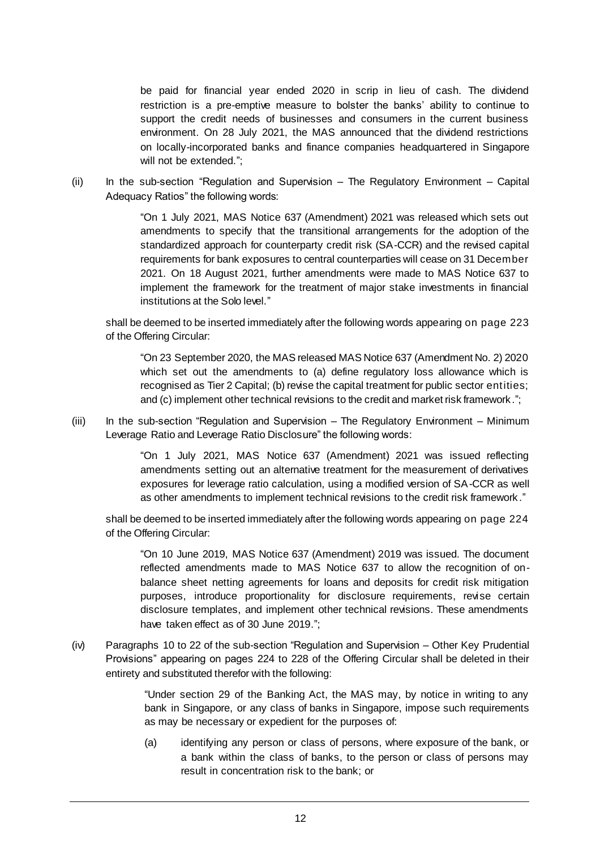be paid for financial year ended 2020 in scrip in lieu of cash. The dividend restriction is a pre-emptive measure to bolster the banks' ability to continue to support the credit needs of businesses and consumers in the current business environment. On 28 July 2021, the MAS announced that the dividend restrictions on locally-incorporated banks and finance companies headquartered in Singapore will not be extended.";

(ii) In the sub-section "Regulation and Supervision – The Regulatory Environment – Capital Adequacy Ratios" the following words:

> "On 1 July 2021, MAS Notice 637 (Amendment) 2021 was released which sets out amendments to specify that the transitional arrangements for the adoption of the standardized approach for counterparty credit risk (SA-CCR) and the revised capital requirements for bank exposures to central counterparties will cease on 31 December 2021. On 18 August 2021, further amendments were made to MAS Notice 637 to implement the framework for the treatment of major stake investments in financial institutions at the Solo level."

shall be deemed to be inserted immediately after the following words appearing on page 223 of the Offering Circular:

"On 23 September 2020, the MAS released MAS Notice 637 (Amendment No. 2) 2020 which set out the amendments to (a) define regulatory loss allowance which is recognised as Tier 2 Capital; (b) revise the capital treatment for public sector entities; and (c) implement other technical revisions to the credit and market risk framework.";

(iii) In the sub-section "Regulation and Supervision – The Regulatory Environment – Minimum Leverage Ratio and Leverage Ratio Disclosure" the following words:

> "On 1 July 2021, MAS Notice 637 (Amendment) 2021 was issued reflecting amendments setting out an alternative treatment for the measurement of derivatives exposures for leverage ratio calculation, using a modified version of SA-CCR as well as other amendments to implement technical revisions to the credit risk framework ."

shall be deemed to be inserted immediately after the following words appearing on page 224 of the Offering Circular:

"On 10 June 2019, MAS Notice 637 (Amendment) 2019 was issued. The document reflected amendments made to MAS Notice 637 to allow the recognition of onbalance sheet netting agreements for loans and deposits for credit risk mitigation purposes, introduce proportionality for disclosure requirements, revise certain disclosure templates, and implement other technical revisions. These amendments have taken effect as of 30 June 2019.";

(iv) Paragraphs 10 to 22 of the sub-section "Regulation and Supervision – Other Key Prudential Provisions" appearing on pages 224 to 228 of the Offering Circular shall be deleted in their entirety and substituted therefor with the following:

> "Under section 29 of the Banking Act, the MAS may, by notice in writing to any bank in Singapore, or any class of banks in Singapore, impose such requirements as may be necessary or expedient for the purposes of:

> (a) identifying any person or class of persons, where exposure of the bank, or a bank within the class of banks, to the person or class of persons may result in concentration risk to the bank; or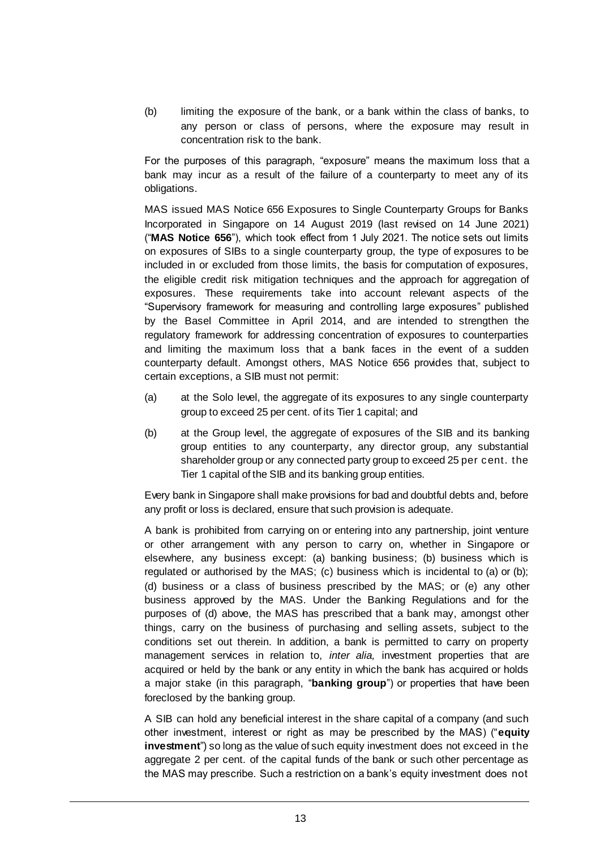(b) limiting the exposure of the bank, or a bank within the class of banks, to any person or class of persons, where the exposure may result in concentration risk to the bank.

For the purposes of this paragraph, "exposure" means the maximum loss that a bank may incur as a result of the failure of a counterparty to meet any of its obligations.

MAS issued MAS Notice 656 Exposures to Single Counterparty Groups for Banks Incorporated in Singapore on 14 August 2019 (last revised on 14 June 2021) ("**MAS Notice 656**"), which took effect from 1 July 2021. The notice sets out limits on exposures of SIBs to a single counterparty group, the type of exposures to be included in or excluded from those limits, the basis for computation of exposures, the eligible credit risk mitigation techniques and the approach for aggregation of exposures. These requirements take into account relevant aspects of the "Supervisory framework for measuring and controlling large exposures" published by the Basel Committee in April 2014, and are intended to strengthen the regulatory framework for addressing concentration of exposures to counterparties and limiting the maximum loss that a bank faces in the event of a sudden counterparty default. Amongst others, MAS Notice 656 provides that, subject to certain exceptions, a SIB must not permit:

- (a) at the Solo level, the aggregate of its exposures to any single counterparty group to exceed 25 per cent. of its Tier 1 capital; and
- (b) at the Group level, the aggregate of exposures of the SIB and its banking group entities to any counterparty, any director group, any substantial shareholder group or any connected party group to exceed 25 per cent. the Tier 1 capital of the SIB and its banking group entities.

Every bank in Singapore shall make provisions for bad and doubtful debts and, before any profit or loss is declared, ensure that such provision is adequate.

A bank is prohibited from carrying on or entering into any partnership, joint venture or other arrangement with any person to carry on, whether in Singapore or elsewhere, any business except: (a) banking business; (b) business which is regulated or authorised by the MAS; (c) business which is incidental to (a) or (b); (d) business or a class of business prescribed by the MAS; or (e) any other business approved by the MAS. Under the Banking Regulations and for the purposes of (d) above, the MAS has prescribed that a bank may, amongst other things, carry on the business of purchasing and selling assets, subject to the conditions set out therein. In addition, a bank is permitted to carry on property management services in relation to, *inter alia,* investment properties that are acquired or held by the bank or any entity in which the bank has acquired or holds a major stake (in this paragraph, "**banking group**") or properties that have been foreclosed by the banking group.

A SIB can hold any beneficial interest in the share capital of a company (and such other investment, interest or right as may be prescribed by the MAS) ("**equity investment**") so long as the value of such equity investment does not exceed in the aggregate 2 per cent. of the capital funds of the bank or such other percentage as the MAS may prescribe. Such a restriction on a bank's equity investment does not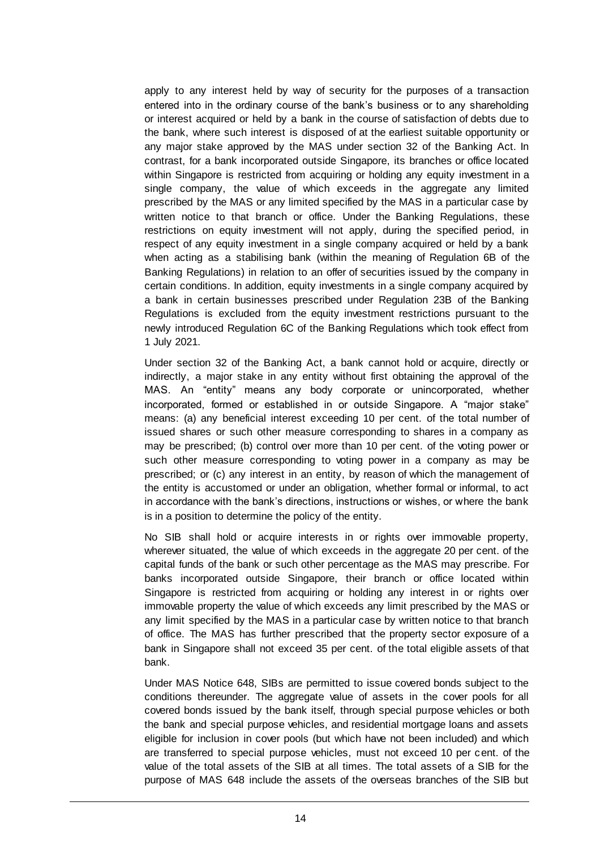apply to any interest held by way of security for the purposes of a transaction entered into in the ordinary course of the bank's business or to any shareholding or interest acquired or held by a bank in the course of satisfaction of debts due to the bank, where such interest is disposed of at the earliest suitable opportunity or any major stake approved by the MAS under section 32 of the Banking Act. In contrast, for a bank incorporated outside Singapore, its branches or office located within Singapore is restricted from acquiring or holding any equity investment in a single company, the value of which exceeds in the aggregate any limited prescribed by the MAS or any limited specified by the MAS in a particular case by written notice to that branch or office. Under the Banking Regulations, these restrictions on equity investment will not apply, during the specified period, in respect of any equity investment in a single company acquired or held by a bank when acting as a stabilising bank (within the meaning of Regulation 6B of the Banking Regulations) in relation to an offer of securities issued by the company in certain conditions. In addition, equity investments in a single company acquired by a bank in certain businesses prescribed under Regulation 23B of the Banking Regulations is excluded from the equity investment restrictions pursuant to the newly introduced Regulation 6C of the Banking Regulations which took effect from 1 July 2021.

Under section 32 of the Banking Act, a bank cannot hold or acquire, directly or indirectly, a major stake in any entity without first obtaining the approval of the MAS. An "entity" means any body corporate or unincorporated, whether incorporated, formed or established in or outside Singapore. A "major stake" means: (a) any beneficial interest exceeding 10 per cent. of the total number of issued shares or such other measure corresponding to shares in a company as may be prescribed; (b) control over more than 10 per cent. of the voting power or such other measure corresponding to voting power in a company as may be prescribed; or (c) any interest in an entity, by reason of which the management of the entity is accustomed or under an obligation, whether formal or informal, to act in accordance with the bank's directions, instructions or wishes, or where the bank is in a position to determine the policy of the entity.

No SIB shall hold or acquire interests in or rights over immovable property, wherever situated, the value of which exceeds in the aggregate 20 per cent. of the capital funds of the bank or such other percentage as the MAS may prescribe. For banks incorporated outside Singapore, their branch or office located within Singapore is restricted from acquiring or holding any interest in or rights over immovable property the value of which exceeds any limit prescribed by the MAS or any limit specified by the MAS in a particular case by written notice to that branch of office. The MAS has further prescribed that the property sector exposure of a bank in Singapore shall not exceed 35 per cent. of the total eligible assets of that bank.

Under MAS Notice 648, SIBs are permitted to issue covered bonds subject to the conditions thereunder. The aggregate value of assets in the cover pools for all covered bonds issued by the bank itself, through special purpose vehicles or both the bank and special purpose vehicles, and residential mortgage loans and assets eligible for inclusion in cover pools (but which have not been included) and which are transferred to special purpose vehicles, must not exceed 10 per cent. of the value of the total assets of the SIB at all times. The total assets of a SIB for the purpose of MAS 648 include the assets of the overseas branches of the SIB but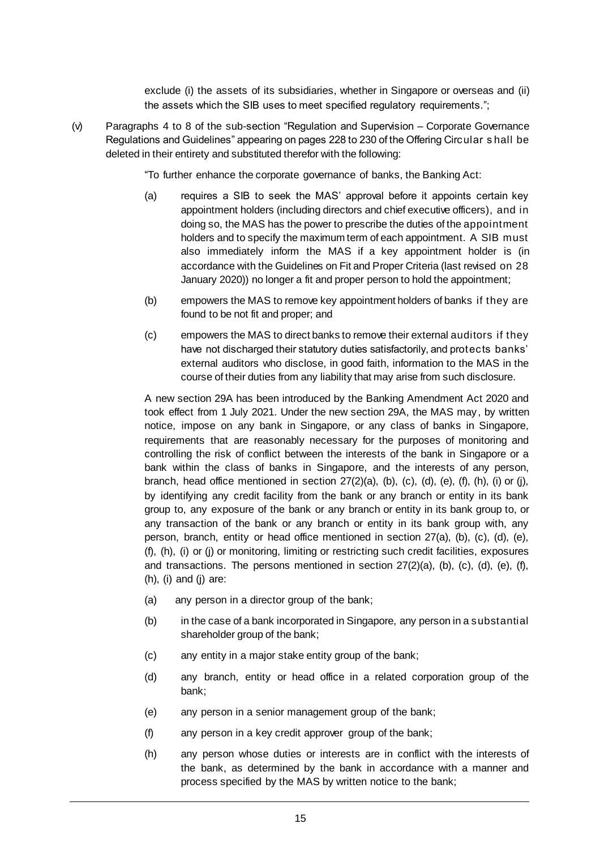exclude (i) the assets of its subsidiaries, whether in Singapore or overseas and (ii) the assets which the SIB uses to meet specified regulatory requirements.";

(v) Paragraphs 4 to 8 of the sub-section "Regulation and Supervision – Corporate Governance Regulations and Guidelines" appearing on pages 228 to 230 of the Offering Circular s hall be deleted in their entirety and substituted therefor with the following:

"To further enhance the corporate governance of banks, the Banking Act:

- (a) requires a SIB to seek the MAS' approval before it appoints certain key appointment holders (including directors and chief executive officers), and in doing so, the MAS has the power to prescribe the duties of the appointment holders and to specify the maximum term of each appointment. A SIB must also immediately inform the MAS if a key appointment holder is (in accordance with the Guidelines on Fit and Proper Criteria (last revised on 28 January 2020)) no longer a fit and proper person to hold the appointment;
- (b) empowers the MAS to remove key appointment holders of banks if they are found to be not fit and proper; and
- (c) empowers the MAS to direct banks to remove their external auditors if they have not discharged their statutory duties satisfactorily, and protects banks' external auditors who disclose, in good faith, information to the MAS in the course of their duties from any liability that may arise from such disclosure.

A new section 29A has been introduced by the Banking Amendment Act 2020 and took effect from 1 July 2021. Under the new section 29A, the MAS may, by written notice, impose on any bank in Singapore, or any class of banks in Singapore, requirements that are reasonably necessary for the purposes of monitoring and controlling the risk of conflict between the interests of the bank in Singapore or a bank within the class of banks in Singapore, and the interests of any person, branch, head office mentioned in section  $27(2)(a)$ ,  $(b)$ ,  $(c)$ ,  $(d)$ ,  $(e)$ ,  $(f)$ ,  $(h)$ ,  $(i)$  or  $(j)$ , by identifying any credit facility from the bank or any branch or entity in its bank group to, any exposure of the bank or any branch or entity in its bank group to, or any transaction of the bank or any branch or entity in its bank group with, any person, branch, entity or head office mentioned in section 27(a), (b), (c), (d), (e), (f), (h), (i) or (j) or monitoring, limiting or restricting such credit facilities, exposures and transactions. The persons mentioned in section 27(2)(a), (b), (c), (d), (e), (f), (h), (i) and (j) are:

- (a) any person in a director group of the bank;
- (b) in the case of a bank incorporated in Singapore, any person in a substantial shareholder group of the bank;
- (c) any entity in a major stake entity group of the bank;
- (d) any branch, entity or head office in a related corporation group of the bank;
- (e) any person in a senior management group of the bank;
- (f) any person in a key credit approver group of the bank;
- (h) any person whose duties or interests are in conflict with the interests of the bank, as determined by the bank in accordance with a manner and process specified by the MAS by written notice to the bank;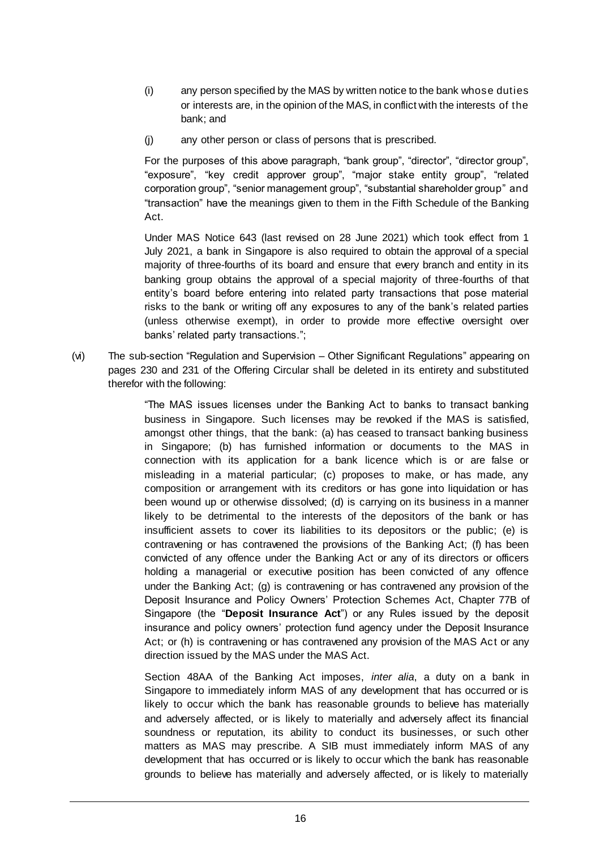- (i) any person specified by the MAS by written notice to the bank whose duties or interests are, in the opinion of the MAS, in conflict with the interests of the bank; and
- (j) any other person or class of persons that is prescribed.

For the purposes of this above paragraph, "bank group", "director", "director group", "exposure", "key credit approver group", "major stake entity group", "related corporation group", "senior management group", "substantial shareholder group" and "transaction" have the meanings given to them in the Fifth Schedule of the Banking Act.

Under MAS Notice 643 (last revised on 28 June 2021) which took effect from 1 July 2021, a bank in Singapore is also required to obtain the approval of a special majority of three-fourths of its board and ensure that every branch and entity in its banking group obtains the approval of a special majority of three-fourths of that entity's board before entering into related party transactions that pose material risks to the bank or writing off any exposures to any of the bank's related parties (unless otherwise exempt), in order to provide more effective oversight over banks' related party transactions.";

(vi) The sub-section "Regulation and Supervision – Other Significant Regulations" appearing on pages 230 and 231 of the Offering Circular shall be deleted in its entirety and substituted therefor with the following:

> "The MAS issues licenses under the Banking Act to banks to transact banking business in Singapore. Such licenses may be revoked if the MAS is satisfied, amongst other things, that the bank: (a) has ceased to transact banking business in Singapore; (b) has furnished information or documents to the MAS in connection with its application for a bank licence which is or are false or misleading in a material particular; (c) proposes to make, or has made, any composition or arrangement with its creditors or has gone into liquidation or has been wound up or otherwise dissolved; (d) is carrying on its business in a manner likely to be detrimental to the interests of the depositors of the bank or has insufficient assets to cover its liabilities to its depositors or the public; (e) is contravening or has contravened the provisions of the Banking Act; (f) has been convicted of any offence under the Banking Act or any of its directors or officers holding a managerial or executive position has been convicted of any offence under the Banking Act; (g) is contravening or has contravened any provision of the Deposit Insurance and Policy Owners' Protection Schemes Act, Chapter 77B of Singapore (the "**Deposit Insurance Act**") or any Rules issued by the deposit insurance and policy owners' protection fund agency under the Deposit Insurance Act; or (h) is contravening or has contravened any provision of the MAS Act or any direction issued by the MAS under the MAS Act.

> Section 48AA of the Banking Act imposes, *inter alia*, a duty on a bank in Singapore to immediately inform MAS of any development that has occurred or is likely to occur which the bank has reasonable grounds to believe has materially and adversely affected, or is likely to materially and adversely affect its financial soundness or reputation, its ability to conduct its businesses, or such other matters as MAS may prescribe. A SIB must immediately inform MAS of any development that has occurred or is likely to occur which the bank has reasonable grounds to believe has materially and adversely affected, or is likely to materially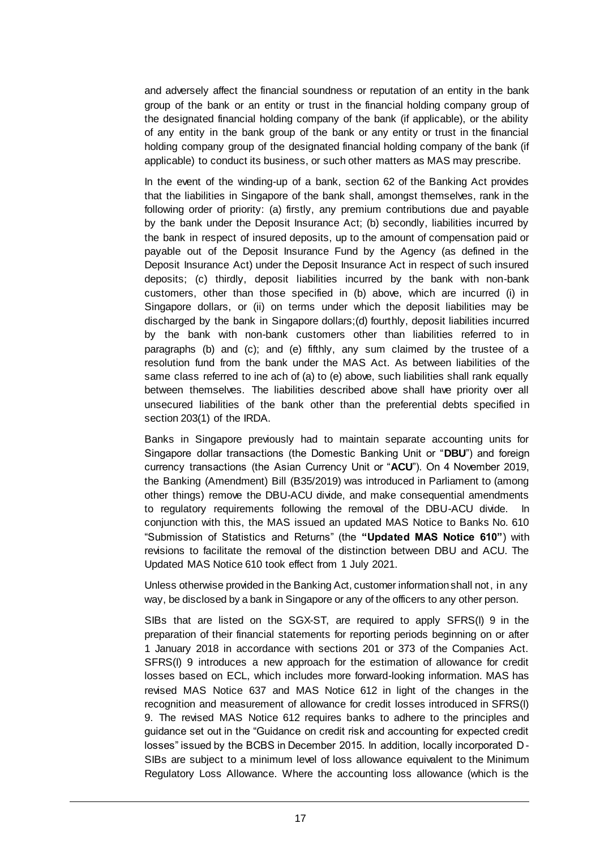and adversely affect the financial soundness or reputation of an entity in the bank group of the bank or an entity or trust in the financial holding company group of the designated financial holding company of the bank (if applicable), or the ability of any entity in the bank group of the bank or any entity or trust in the financial holding company group of the designated financial holding company of the bank (if applicable) to conduct its business, or such other matters as MAS may prescribe.

In the event of the winding-up of a bank, section 62 of the Banking Act provides that the liabilities in Singapore of the bank shall, amongst themselves, rank in the following order of priority: (a) firstly, any premium contributions due and payable by the bank under the Deposit Insurance Act; (b) secondly, liabilities incurred by the bank in respect of insured deposits, up to the amount of compensation paid or payable out of the Deposit Insurance Fund by the Agency (as defined in the Deposit Insurance Act) under the Deposit Insurance Act in respect of such insured deposits; (c) thirdly, deposit liabilities incurred by the bank with non-bank customers, other than those specified in (b) above, which are incurred (i) in Singapore dollars, or (ii) on terms under which the deposit liabilities may be discharged by the bank in Singapore dollars;(d) fourthly, deposit liabilities incurred by the bank with non-bank customers other than liabilities referred to in paragraphs (b) and (c); and (e) fifthly, any sum claimed by the trustee of a resolution fund from the bank under the MAS Act. As between liabilities of the same class referred to ine ach of (a) to (e) above, such liabilities shall rank equally between themselves. The liabilities described above shall have priority over all unsecured liabilities of the bank other than the preferential debts specified in section 203(1) of the IRDA.

Banks in Singapore previously had to maintain separate accounting units for Singapore dollar transactions (the Domestic Banking Unit or "**DBU**") and foreign currency transactions (the Asian Currency Unit or "**ACU**"). On 4 November 2019, the Banking (Amendment) Bill (B35/2019) was introduced in Parliament to (among other things) remove the DBU-ACU divide, and make consequential amendments to regulatory requirements following the removal of the DBU-ACU divide. In conjunction with this, the MAS issued an updated MAS Notice to Banks No. 610 "Submission of Statistics and Returns" (the **"Updated MAS Notice 610"**) with revisions to facilitate the removal of the distinction between DBU and ACU. The Updated MAS Notice 610 took effect from 1 July 2021.

Unless otherwise provided in the Banking Act, customer information shall not, in any way, be disclosed by a bank in Singapore or any of the officers to any other person.

SIBs that are listed on the SGX-ST, are required to apply SFRS(I) 9 in the preparation of their financial statements for reporting periods beginning on or after 1 January 2018 in accordance with sections 201 or 373 of the Companies Act. SFRS(I) 9 introduces a new approach for the estimation of allowance for credit losses based on ECL, which includes more forward-looking information. MAS has revised MAS Notice 637 and MAS Notice 612 in light of the changes in the recognition and measurement of allowance for credit losses introduced in SFRS(I) 9. The revised MAS Notice 612 requires banks to adhere to the principles and guidance set out in the "Guidance on credit risk and accounting for expected credit losses" issued by the BCBS in December 2015. In addition, locally incorporated D-SIBs are subject to a minimum level of loss allowance equivalent to the Minimum Regulatory Loss Allowance. Where the accounting loss allowance (which is the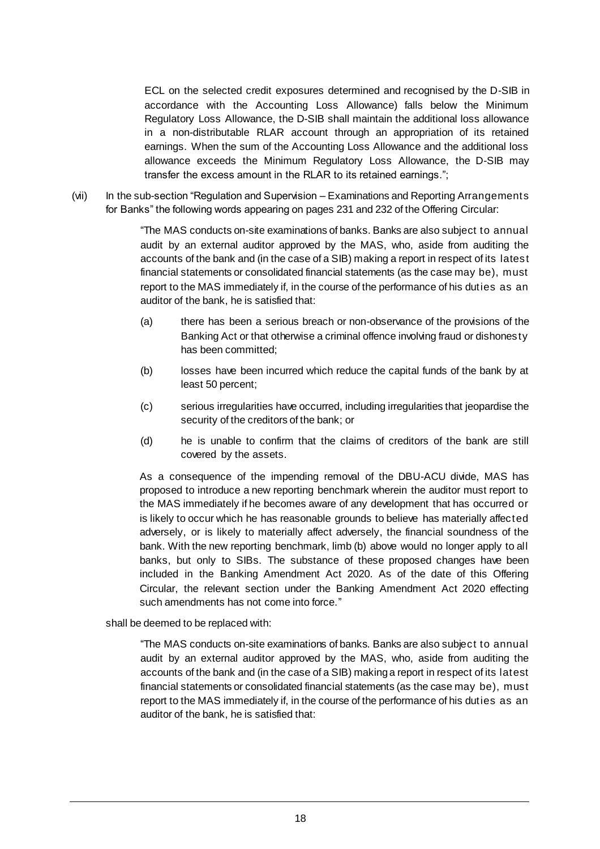ECL on the selected credit exposures determined and recognised by the D-SIB in accordance with the Accounting Loss Allowance) falls below the Minimum Regulatory Loss Allowance, the D-SIB shall maintain the additional loss allowance in a non-distributable RLAR account through an appropriation of its retained earnings. When the sum of the Accounting Loss Allowance and the additional loss allowance exceeds the Minimum Regulatory Loss Allowance, the D-SIB may transfer the excess amount in the RLAR to its retained earnings.";

(vii) In the sub-section "Regulation and Supervision – Examinations and Reporting Arrangements for Banks" the following words appearing on pages 231 and 232 of the Offering Circular:

> "The MAS conducts on-site examinations of banks. Banks are also subject to annual audit by an external auditor approved by the MAS, who, aside from auditing the accounts of the bank and (in the case of a SIB) making a report in respect of its latest financial statements or consolidated financial statements (as the case may be), must report to the MAS immediately if, in the course of the performance of his duties as an auditor of the bank, he is satisfied that:

- (a) there has been a serious breach or non-observance of the provisions of the Banking Act or that otherwise a criminal offence involving fraud or dishonesty has been committed;
- (b) losses have been incurred which reduce the capital funds of the bank by at least 50 percent;
- (c) serious irregularities have occurred, including irregularities that jeopardise the security of the creditors of the bank; or
- (d) he is unable to confirm that the claims of creditors of the bank are still covered by the assets.

As a consequence of the impending removal of the DBU-ACU divide, MAS has proposed to introduce a new reporting benchmark wherein the auditor must report to the MAS immediately if he becomes aware of any development that has occurred or is likely to occur which he has reasonable grounds to believe has materially affected adversely, or is likely to materially affect adversely, the financial soundness of the bank. With the new reporting benchmark, limb (b) above would no longer apply to all banks, but only to SIBs. The substance of these proposed changes have been included in the Banking Amendment Act 2020. As of the date of this Offering Circular, the relevant section under the Banking Amendment Act 2020 effecting such amendments has not come into force."

shall be deemed to be replaced with:

"The MAS conducts on-site examinations of banks. Banks are also subject to annual audit by an external auditor approved by the MAS, who, aside from auditing the accounts of the bank and (in the case of a SIB) making a report in respect of its latest financial statements or consolidated financial statements (as the case may be), must report to the MAS immediately if, in the course of the performance of his duties as an auditor of the bank, he is satisfied that: